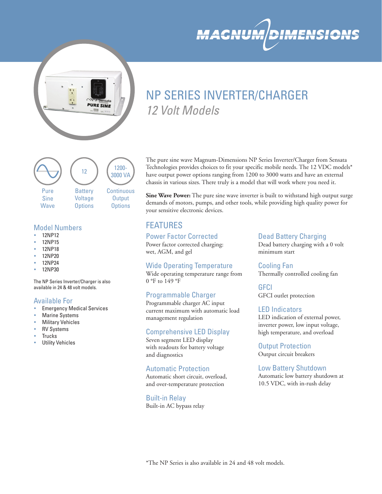



# NP SERIES INVERTER/CHARGER *12 Volt Models*



## Model Numbers

- 12NP12
- y 12NP15
- y 12NP18
- 12NP20
- 12NP24
- 12NP30

The NP Series Inverter/Charger is also available in 24 & 48 volt models.

## Available For

- **Emergency Medical Services**
- **Marine Systems**
- **Military Vehicles**
- **RV Systems**
- **Trucks**
- **Utility Vehicles**

The pure sine wave Magnum-Dimensions NP Series Inverter/Charger from Sensata Technologies provides choices to fit your specific mobile needs. The 12 VDC models\* have output power options ranging from 1200 to 3000 watts and have an external chassis in various sizes. There truly is a model that will work where you need it.

**Sine Wave Power:** The pure sine wave inverter is built to withstand high output surge demands of motors, pumps, and other tools, while providing high quality power for your sensitive electronic devices.

# FEATURES

# Power Factor Corrected

Power factor corrected charging: wet, AGM, and gel

# Wide Operating Temperature

Wide operating temperature range from 0 °F to 149 °F

# Programmable Charger

Programmable charger AC input current maximum with automatic load management regulation

# Comprehensive LED Display

Seven segment LED display with readouts for battery voltage and diagnostics

## Automatic Protection

Automatic short circuit, overload, and over-temperature protection

Built-in Relay

Built-in AC bypass relay

#### Dead Battery Charging

Dead battery charging with a 0 volt minimum start

Cooling Fan Thermally controlled cooling fan

**GFCI** GFCI outlet protection

#### LED Indicators

LED indication of external power, inverter power, low input voltage, high temperature, and overload

Output Protection Output circuit breakers

Low Battery Shutdown Automatic low battery shutdown at 10.5 VDC, with in-rush delay